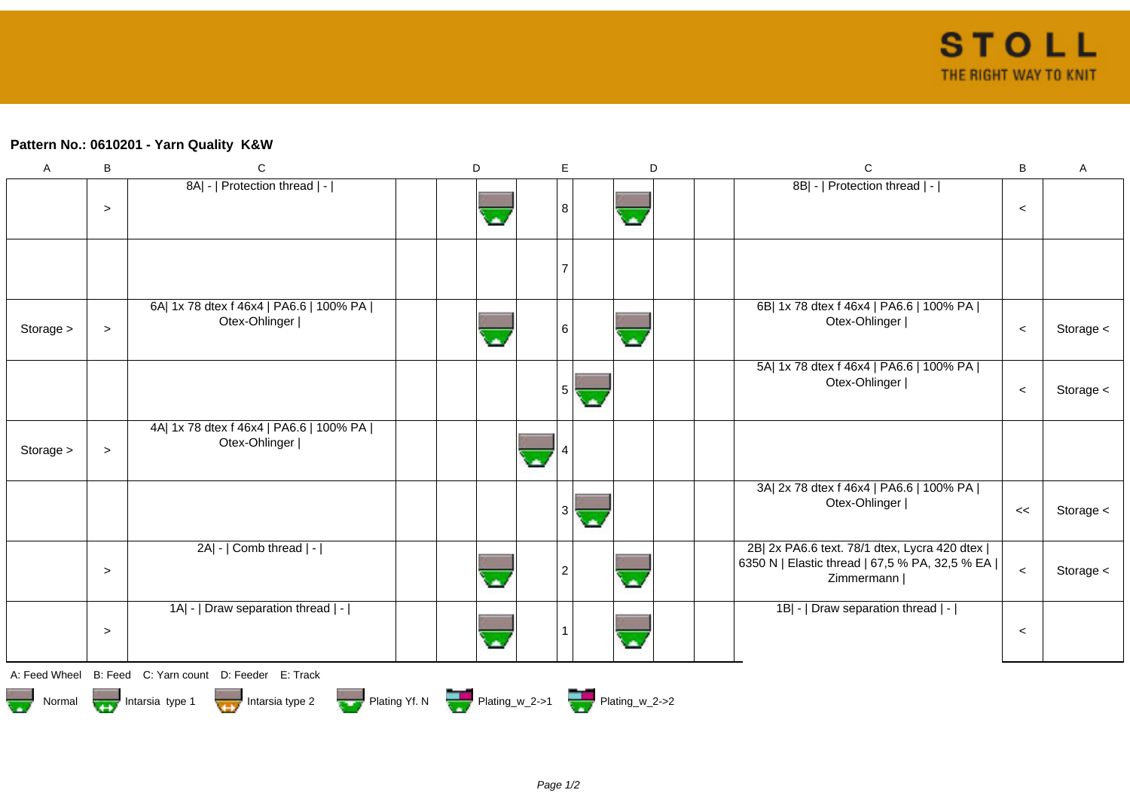## **Pattern No.: 0610201 - Yarn Quality K&W**

| $\mathsf{A}$  | B      | $\mathbf C$                                                | D                                           | E              | D                        | $\mathsf{C}$                                                                                                     | $\sf B$ | $\mathsf{A}$ |
|---------------|--------|------------------------------------------------------------|---------------------------------------------|----------------|--------------------------|------------------------------------------------------------------------------------------------------------------|---------|--------------|
|               | $\,>$  | 8A  -   Protection thread   -                              |                                             | 8              | ζ×,                      | 8B  -   Protection thread   -                                                                                    | $\,<$   |              |
|               |        |                                                            |                                             |                |                          |                                                                                                                  |         |              |
| Storage >     | $\geq$ | 6A  1x 78 dtex f 46x4   PA6.6   100% PA  <br>Otex-Ohlinger |                                             | 6              | $\overline{\phantom{a}}$ | 6B  1x 78 dtex f 46x4   PA6.6   100% PA  <br>Otex-Ohlinger                                                       | $\,<$   | Storage <    |
|               |        |                                                            |                                             | 5              |                          | 5A  1x 78 dtex f 46x4   PA6.6   100% PA  <br>Otex-Ohlinger                                                       | $\,<$   | Storage <    |
| Storage >     | $\geq$ | 4A  1x 78 dtex f 46x4   PA6.6   100% PA  <br>Otex-Ohlinger |                                             |                |                          |                                                                                                                  |         |              |
|               |        |                                                            |                                             | 3              | a.                       | 3A  2x 78 dtex f 46x4   PA6.6   100% PA  <br>Otex-Ohlinger                                                       | <<      | Storage <    |
|               | $\geq$ | 2A  -   Comb thread   -                                    |                                             | $\overline{2}$ |                          | 2B  2x PA6.6 text. 78/1 dtex, Lycra 420 dtex  <br>6350 N   Elastic thread   67,5 % PA, 32,5 % EA  <br>Zimmermann | $\,<$   | Storage <    |
|               | $\geq$ | 1A  -   Draw separation thread   -                         |                                             | $\mathbf{1}$   | G.                       | 1B  -   Draw separation thread   -                                                                               | $\,<$   |              |
| A: Feed Wheel |        | B: Feed C: Yarn count D: Feeder E: Track                   |                                             |                |                          |                                                                                                                  |         |              |
| Normal        |        | Intarsia type 2<br>Intarsia type 1                         | Plating Yf. N Plating_w_2->1 Plating_w_2->2 |                |                          |                                                                                                                  |         |              |